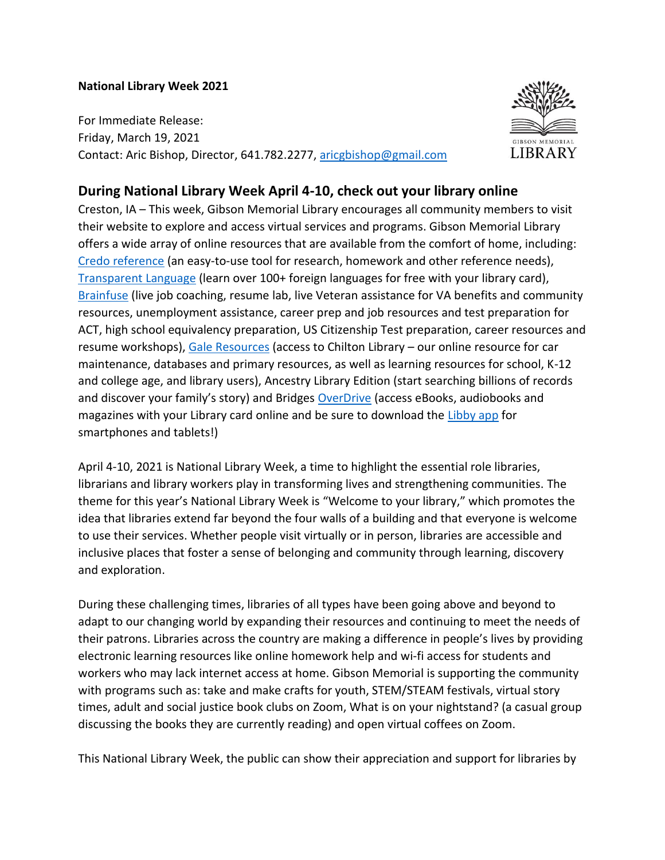## **National Library Week 2021**

For Immediate Release: Friday, March 19, 2021 Contact: Aric Bishop, Director, 641.782.2277, [aricgbishop@gmail.com](mailto:aricgbishop@gmail.com)



## **During National Library Week April 4-10, check out your library online**

Creston, IA – This week, Gibson Memorial Library encourages all community members to visit their website to explore and access virtual services and programs. Gibson Memorial Library offers a wide array of online resources that are available from the comfort of home, including: [Credo reference](https://search.credoreference.com/?institutionId=10782) (an easy-to-use tool for research, homework and other reference needs), [Transparent Language](https://library.transparent.com/matildajgibsonia/game/ng/#/login) (learn over 100+ foreign languages for free with your library card), [Brainfuse](https://www.brainfuse.com/highed/home.asp?a_id=9260B2A5&ss=&r=) (live job coaching, resume lab, live Veteran assistance for VA benefits and community resources, unemployment assistance, career prep and job resources and test preparation for ACT, high school equivalency preparation, US Citizenship Test preparation, career resources and resume workshops), [Gale Resources](https://www.creston.lib.ia.us/online-resources) (access to Chilton Library – our online resource for car maintenance, databases and primary resources, as well as learning resources for school, K-12 and college age, and library users), Ancestry Library Edition (start searching billions of records and discover your family's story) and Bridges [OverDrive](https://bridges.overdrive.com/) (access eBooks, audiobooks and magazines with your Library card online and be sure to download the [Libby app](https://www.overdrive.com/apps/libby/) for smartphones and tablets!)

April 4-10, 2021 is National Library Week, a time to highlight the essential role libraries, librarians and library workers play in transforming lives and strengthening communities. The theme for this year's National Library Week is "Welcome to your library," which promotes the idea that libraries extend far beyond the four walls of a building and that everyone is welcome to use their services. Whether people visit virtually or in person, libraries are accessible and inclusive places that foster a sense of belonging and community through learning, discovery and exploration.

During these challenging times, libraries of all types have been going above and beyond to adapt to our changing world by expanding their resources and continuing to meet the needs of their patrons. Libraries across the country are making a difference in people's lives by providing electronic learning resources like online homework help and wi-fi access for students and workers who may lack internet access at home. Gibson Memorial is supporting the community with programs such as: take and make crafts for youth, STEM/STEAM festivals, virtual story times, adult and social justice book clubs on Zoom, What is on your nightstand? (a casual group discussing the books they are currently reading) and open virtual coffees on Zoom.

This National Library Week, the public can show their appreciation and support for libraries by